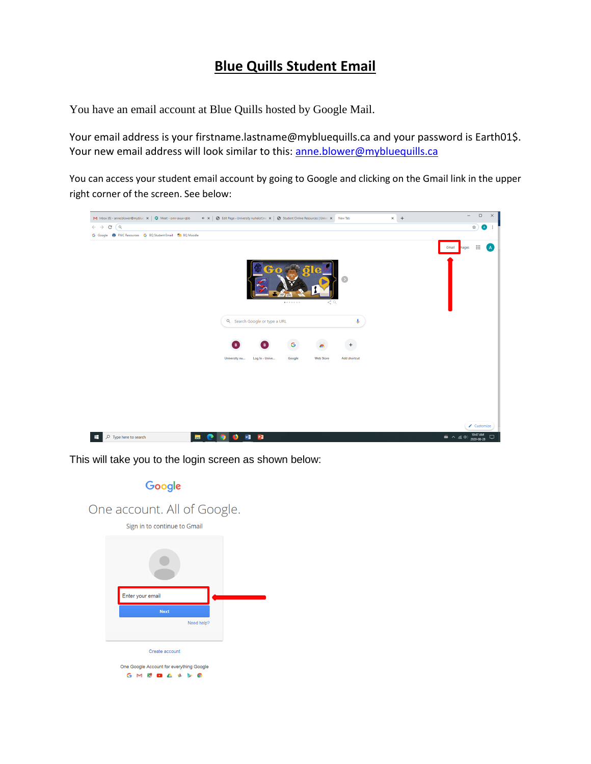# **Blue Quills Student Email**

You have an email account at Blue Quills hosted by Google Mail.

Your email address is your firstname.lastname@mybluequills.ca and your password is Earth01\$. Your new email address will look similar to this: [anne.blower@mybluequills.ca](mailto:anne.blower@mybluequills.ca)

You can access your student email account by going to Google and clicking on the Gmail link in the upper right corner of the screen. See below:



This will take you to the login screen as shown below:

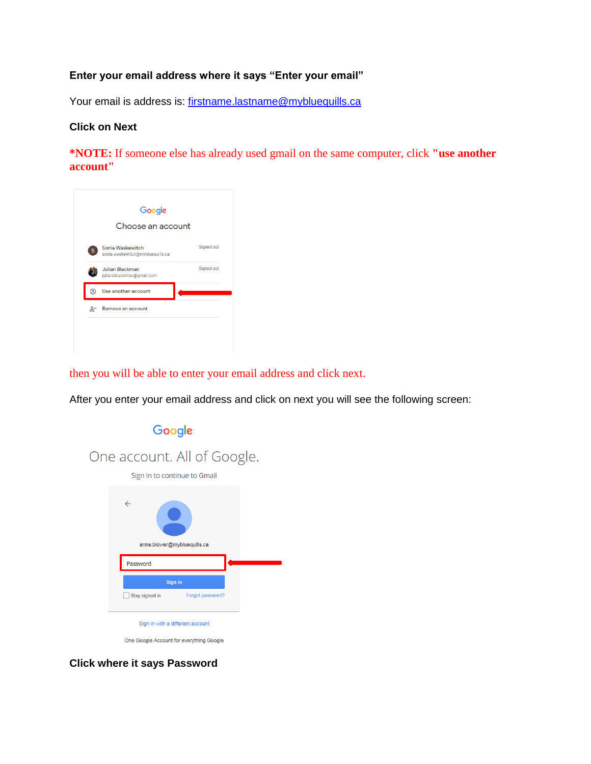### **Enter your email address where it says "Enter your email"**

Your email is address is: [firstname.lastname@mybluequills.ca](mailto:firstname.lastname@mybluequills.ca)

#### **Click on Next**

**\*NOTE:** If someone else has already used gmail on the same computer, click **"use another account"**



then you will be able to enter your email address and click next.

After you enter your email address and click on next you will see the following screen:



**Click where it says Password**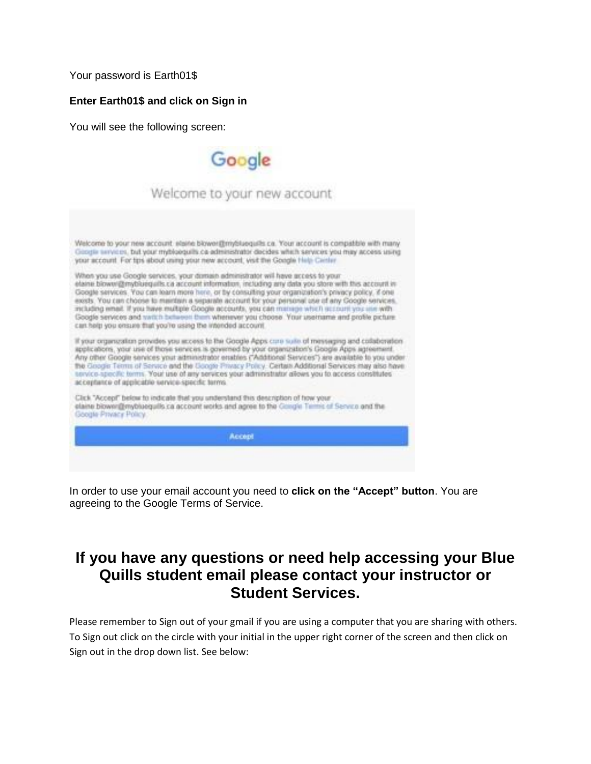Your password is Earth01\$

#### **Enter Earth01\$ and click on Sign in**

You will see the following screen:



In order to use your email account you need to **click on the "Accept" button**. You are agreeing to the Google Terms of Service.

# **If you have any questions or need help accessing your Blue Quills student email please contact your instructor or Student Services.**

Please remember to Sign out of your gmail if you are using a computer that you are sharing with others. To Sign out click on the circle with your initial in the upper right corner of the screen and then click on Sign out in the drop down list. See below: